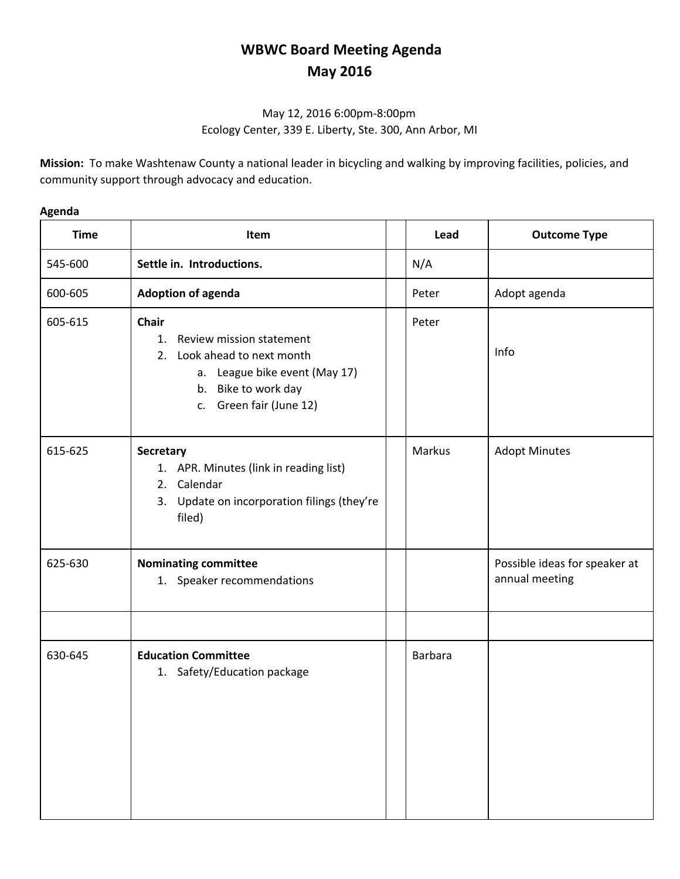# **WBWC Board Meeting Agenda May 2016**

# May 12, 2016 6:00pm-8:00pm Ecology Center, 339 E. Liberty, Ste. 300, Ann Arbor, MI

**Mission:** To make Washtenaw County a national leader in bicycling and walking by improving facilities, policies, and community support through advocacy and education.

### **Agenda**

| <b>Time</b> | Item                                                                                                                                                                | Lead    | <b>Outcome Type</b>                             |
|-------------|---------------------------------------------------------------------------------------------------------------------------------------------------------------------|---------|-------------------------------------------------|
| 545-600     | Settle in. Introductions.                                                                                                                                           | N/A     |                                                 |
| 600-605     | <b>Adoption of agenda</b>                                                                                                                                           | Peter   | Adopt agenda                                    |
| 605-615     | <b>Chair</b><br>Review mission statement<br>1.<br>Look ahead to next month<br>2.<br>a. League bike event (May 17)<br>b. Bike to work day<br>c. Green fair (June 12) | Peter   | Info                                            |
| 615-625     | Secretary<br>1. APR. Minutes (link in reading list)<br>2. Calendar<br>3. Update on incorporation filings (they're<br>filed)                                         | Markus  | <b>Adopt Minutes</b>                            |
| 625-630     | <b>Nominating committee</b><br>1. Speaker recommendations                                                                                                           |         | Possible ideas for speaker at<br>annual meeting |
|             |                                                                                                                                                                     |         |                                                 |
| 630-645     | <b>Education Committee</b><br>1. Safety/Education package                                                                                                           | Barbara |                                                 |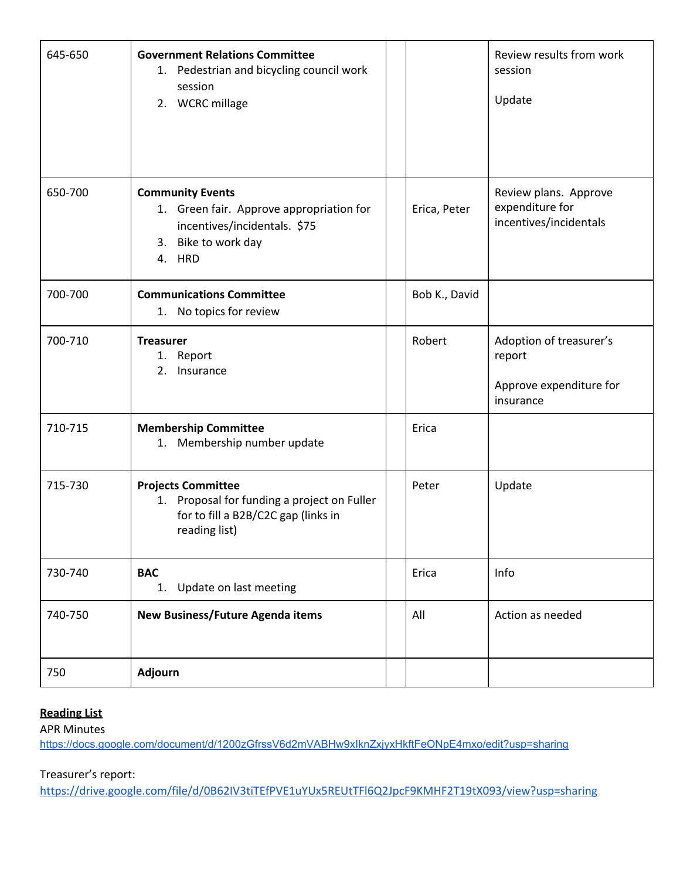| 645-650 | <b>Government Relations Committee</b><br>Pedestrian and bicycling council work<br>1.<br>session<br>2. WCRC millage                      |               | Review results from work<br>session<br>Update                             |
|---------|-----------------------------------------------------------------------------------------------------------------------------------------|---------------|---------------------------------------------------------------------------|
| 650-700 | <b>Community Events</b><br>1. Green fair. Approve appropriation for<br>incentives/incidentals. \$75<br>Bike to work day<br>3.<br>4. HRD | Erica, Peter  | Review plans. Approve<br>expenditure for<br>incentives/incidentals        |
| 700-700 | <b>Communications Committee</b><br>No topics for review<br>1.                                                                           | Bob K., David |                                                                           |
| 700-710 | <b>Treasurer</b><br>1. Report<br>Insurance<br>2.                                                                                        | Robert        | Adoption of treasurer's<br>report<br>Approve expenditure for<br>insurance |
| 710-715 | <b>Membership Committee</b><br>Membership number update<br>1.                                                                           | Erica         |                                                                           |
| 715-730 | <b>Projects Committee</b><br>1. Proposal for funding a project on Fuller<br>for to fill a B2B/C2C gap (links in<br>reading list)        | Peter         | Update                                                                    |
| 730-740 | <b>BAC</b><br>Update on last meeting<br>1.                                                                                              | Erica         | Info                                                                      |
| 740-750 | New Business/Future Agenda items                                                                                                        | All           | Action as needed                                                          |
| 750     | Adjourn                                                                                                                                 |               |                                                                           |

#### **Reading List**

APR Minutes

<https://docs.google.com/document/d/1200zGfrssV6d2mVABHw9xIknZxjyxHkftFeONpE4mxo/edit?usp=sharing>

## Treasurer's report:

<https://drive.google.com/file/d/0B62IV3tiTEfPVE1uYUx5REUtTFl6Q2JpcF9KMHF2T19tX093/view?usp=sharing>